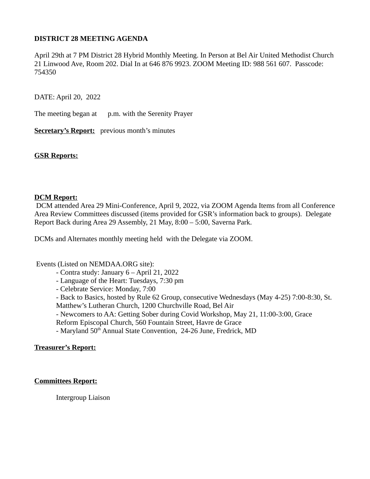# **DISTRICT 28 MEETING AGENDA**

April 29th at 7 PM District 28 Hybrid Monthly Meeting. In Person at Bel Air United Methodist Church 21 Linwood Ave, Room 202. Dial In at 646 876 9923. ZOOM Meeting ID: 988 561 607. Passcode: 754350

DATE: April 20, 2022

The meeting began at p.m. with the Serenity Prayer

**Secretary's Report:** previous month's minutes

#### **GSR Reports:**

#### **DCM Report:**

 DCM attended Area 29 Mini-Conference, April 9, 2022, via ZOOM Agenda Items from all Conference Area Review Committees discussed (items provided for GSR's information back to groups). Delegate Report Back during Area 29 Assembly, 21 May, 8:00 – 5:00, Saverna Park.

DCMs and Alternates monthly meeting held with the Delegate via ZOOM.

Events (Listed on NEMDAA.ORG site):

- Contra study: January 6 April 21, 2022
- Language of the Heart: Tuesdays, 7:30 pm
- Celebrate Service: Monday, 7:00
- Back to Basics, hosted by Rule 62 Group, consecutive Wednesdays (May 4-25) 7:00-8:30, St. Matthew's Lutheran Church, 1200 Churchville Road, Bel Air
- Newcomers to AA: Getting Sober during Covid Workshop, May 21, 11:00-3:00, Grace Reform Episcopal Church, 560 Fountain Street, Havre de Grace
- Maryland 50<sup>th</sup> Annual State Convention, 24-26 June, Fredrick, MD

#### **Treasurer's Report:**

#### **Committees Report:**

Intergroup Liaison